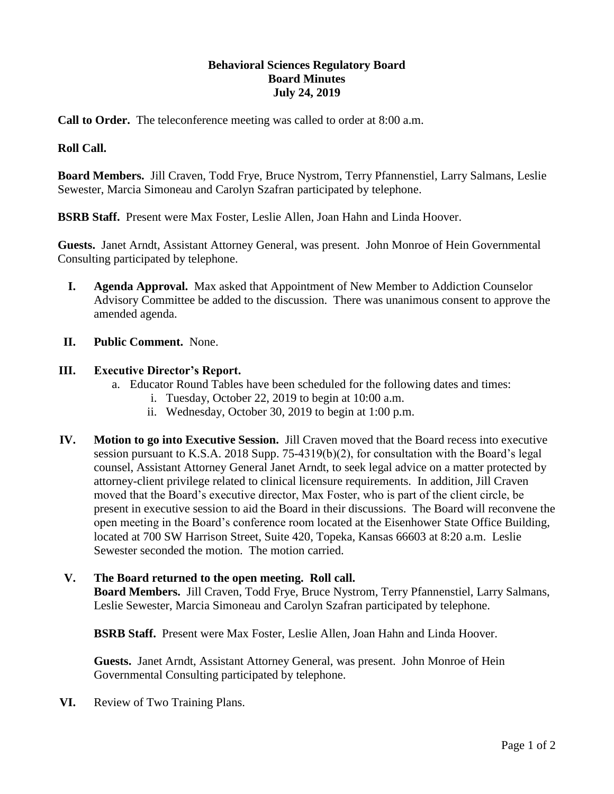## **Behavioral Sciences Regulatory Board Board Minutes July 24, 2019**

**Call to Order.** The teleconference meeting was called to order at 8:00 a.m.

## **Roll Call.**

**Board Members.** Jill Craven, Todd Frye, Bruce Nystrom, Terry Pfannenstiel, Larry Salmans, Leslie Sewester, Marcia Simoneau and Carolyn Szafran participated by telephone.

**BSRB Staff.** Present were Max Foster, Leslie Allen, Joan Hahn and Linda Hoover.

**Guests.** Janet Arndt, Assistant Attorney General, was present. John Monroe of Hein Governmental Consulting participated by telephone.

- **I. Agenda Approval.** Max asked that Appointment of New Member to Addiction Counselor Advisory Committee be added to the discussion. There was unanimous consent to approve the amended agenda.
- **II. Public Comment.** None.

## **III. Executive Director's Report.**

- a. Educator Round Tables have been scheduled for the following dates and times:
	- i. Tuesday, October 22, 2019 to begin at 10:00 a.m.
	- ii. Wednesday, October 30, 2019 to begin at 1:00 p.m.
- **IV. Motion to go into Executive Session.** Jill Craven moved that the Board recess into executive session pursuant to K.S.A. 2018 Supp. 75-4319(b)(2), for consultation with the Board's legal counsel, Assistant Attorney General Janet Arndt, to seek legal advice on a matter protected by attorney-client privilege related to clinical licensure requirements. In addition, Jill Craven moved that the Board's executive director, Max Foster, who is part of the client circle, be present in executive session to aid the Board in their discussions. The Board will reconvene the open meeting in the Board's conference room located at the Eisenhower State Office Building, located at 700 SW Harrison Street, Suite 420, Topeka, Kansas 66603 at 8:20 a.m. Leslie Sewester seconded the motion. The motion carried.

## **V. The Board returned to the open meeting. Roll call.**

**Board Members.** Jill Craven, Todd Frye, Bruce Nystrom, Terry Pfannenstiel, Larry Salmans, Leslie Sewester, Marcia Simoneau and Carolyn Szafran participated by telephone.

**BSRB Staff.** Present were Max Foster, Leslie Allen, Joan Hahn and Linda Hoover.

**Guests.** Janet Arndt, Assistant Attorney General, was present. John Monroe of Hein Governmental Consulting participated by telephone.

**VI.** Review of Two Training Plans.